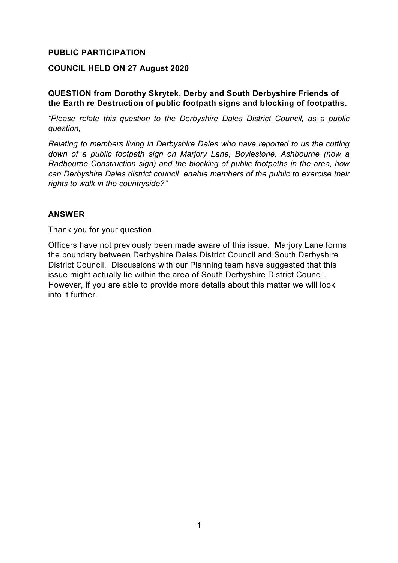### **PUBLIC PARTICIPATION**

#### **COUNCIL HELD ON 27 August 2020**

#### **QUESTION from Dorothy Skrytek, Derby and South Derbyshire Friends of the Earth re Destruction of public footpath signs and blocking of footpaths.**

*"Please relate this question to the Derbyshire Dales District Council, as a public question,* 

*Relating to members living in Derbyshire Dales who have reported to us the cutting down of a public footpath sign on Marjory Lane, Boylestone, Ashbourne (now a Radbourne Construction sign) and the blocking of public footpaths in the area, how can Derbyshire Dales district council enable members of the public to exercise their rights to walk in the countryside?"*

#### **ANSWER**

Thank you for your question.

Officers have not previously been made aware of this issue. Marjory Lane forms the boundary between Derbyshire Dales District Council and South Derbyshire District Council. Discussions with our Planning team have suggested that this issue might actually lie within the area of South Derbyshire District Council. However, if you are able to provide more details about this matter we will look into it further.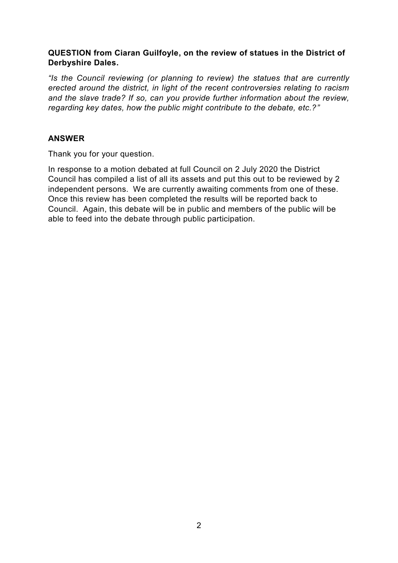## **QUESTION from Ciaran Guilfoyle, on the review of statues in the District of Derbyshire Dales.**

*"Is the Council reviewing (or planning to review) the statues that are currently erected around the district, in light of the recent controversies relating to racism and the slave trade? If so, can you provide further information about the review, regarding key dates, how the public might contribute to the debate, etc.?"*

## **ANSWER**

Thank you for your question.

In response to a motion debated at full Council on 2 July 2020 the District Council has compiled a list of all its assets and put this out to be reviewed by 2 independent persons. We are currently awaiting comments from one of these. Once this review has been completed the results will be reported back to Council. Again, this debate will be in public and members of the public will be able to feed into the debate through public participation.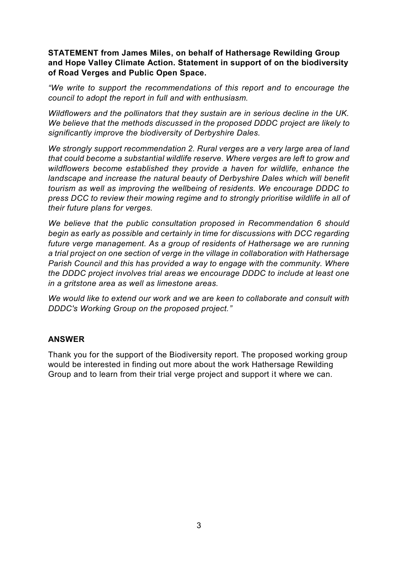### **STATEMENT from James Miles, on behalf of Hathersage Rewilding Group and Hope Valley Climate Action. Statement in support of on the biodiversity of Road Verges and Public Open Space.**

*"We write to support the recommendations of this report and to encourage the council to adopt the report in full and with enthusiasm.*

*Wildflowers and the pollinators that they sustain are in serious decline in the UK. We believe that the methods discussed in the proposed DDDC project are likely to significantly improve the biodiversity of Derbyshire Dales.*

*We strongly support recommendation 2. Rural verges are a very large area of land that could become a substantial wildlife reserve. Where verges are left to grow and wildflowers become established they provide a haven for wildlife, enhance the landscape and increase the natural beauty of Derbyshire Dales which will benefit tourism as well as improving the wellbeing of residents. We encourage DDDC to press DCC to review their mowing regime and to strongly prioritise wildlife in all of their future plans for verges.*

*We believe that the public consultation proposed in Recommendation 6 should begin as early as possible and certainly in time for discussions with DCC regarding future verge management. As a group of residents of Hathersage we are running a trial project on one section of verge in the village in collaboration with Hathersage Parish Council and this has provided a way to engage with the community. Where the DDDC project involves trial areas we encourage DDDC to include at least one in a gritstone area as well as limestone areas.*

*We would like to extend our work and we are keen to collaborate and consult with DDDC's Working Group on the proposed project."*

### **ANSWER**

Thank you for the support of the Biodiversity report. The proposed working group would be interested in finding out more about the work Hathersage Rewilding Group and to learn from their trial verge project and support it where we can.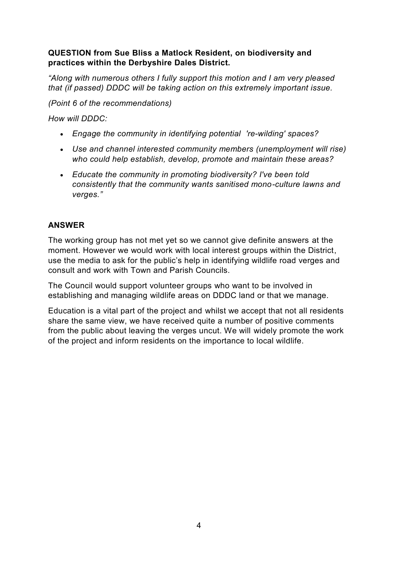## **QUESTION from Sue Bliss a Matlock Resident, on biodiversity and practices within the Derbyshire Dales District.**

*"Along with numerous others I fully support this motion and I am very pleased that (if passed) DDDC will be taking action on this extremely important issue.*

*(Point 6 of the recommendations)*

*How will DDDC:*

- *Engage the community in identifying potential 're-wilding' spaces?*
- *Use and channel interested community members (unemployment will rise) who could help establish, develop, promote and maintain these areas?*
- *Educate the community in promoting biodiversity? I've been told consistently that the community wants sanitised mono-culture lawns and verges."*

## **ANSWER**

The working group has not met yet so we cannot give definite answers at the moment. However we would work with local interest groups within the District, use the media to ask for the public's help in identifying wildlife road verges and consult and work with Town and Parish Councils.

The Council would support volunteer groups who want to be involved in establishing and managing wildlife areas on DDDC land or that we manage.

Education is a vital part of the project and whilst we accept that not all residents share the same view, we have received quite a number of positive comments from the public about leaving the verges uncut. We will widely promote the work of the project and inform residents on the importance to local wildlife.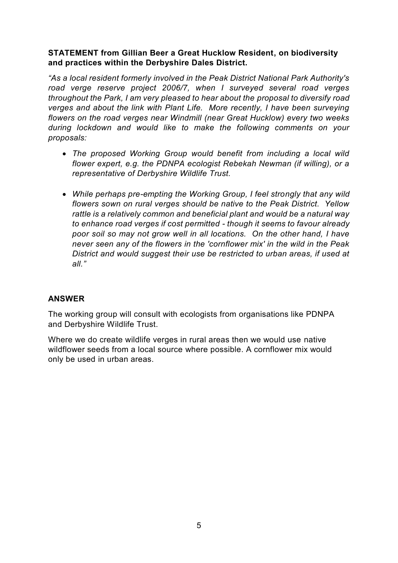## **STATEMENT from Gillian Beer a Great Hucklow Resident, on biodiversity and practices within the Derbyshire Dales District.**

*"As a local resident formerly involved in the Peak District National Park Authority's road verge reserve project 2006/7, when I surveyed several road verges throughout the Park, I am very pleased to hear about the proposal to diversify road verges and about the link with Plant Life. More recently, I have been surveying flowers on the road verges near Windmill (near Great Hucklow) every two weeks during lockdown and would like to make the following comments on your proposals:*

- *The proposed Working Group would benefit from including a local wild flower expert, e.g. the PDNPA ecologist Rebekah Newman (if willing), or a representative of Derbyshire Wildlife Trust.*
- *While perhaps pre-empting the Working Group, I feel strongly that any wild flowers sown on rural verges should be native to the Peak District. Yellow rattle is a relatively common and beneficial plant and would be a natural way to enhance road verges if cost permitted - though it seems to favour already poor soil so may not grow well in all locations. On the other hand, I have never seen any of the flowers in the 'cornflower mix' in the wild in the Peak District and would suggest their use be restricted to urban areas, if used at all."*

# **ANSWER**

The working group will consult with ecologists from organisations like PDNPA and Derbyshire Wildlife Trust.

Where we do create wildlife verges in rural areas then we would use native wildflower seeds from a local source where possible. A cornflower mix would only be used in urban areas.